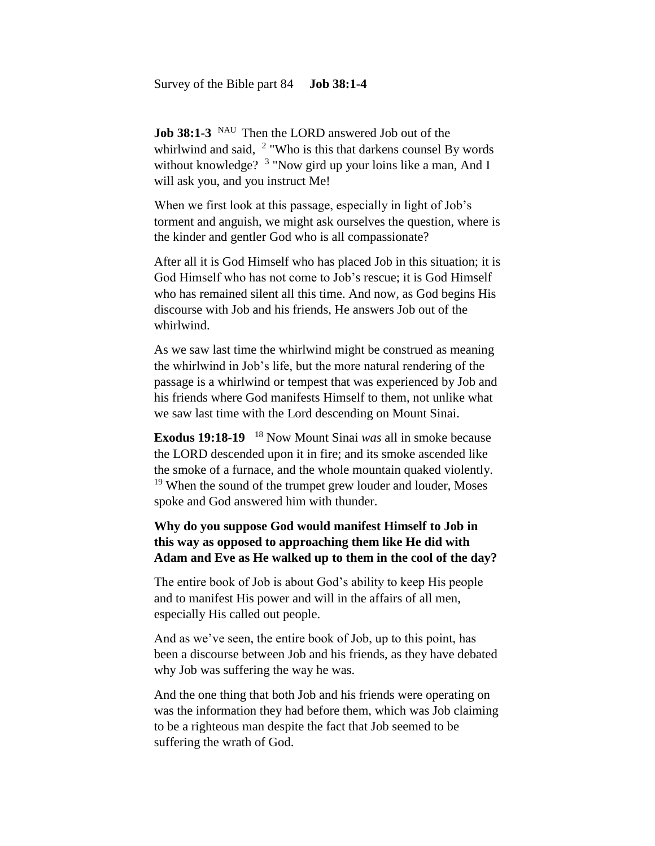Survey of the Bible part 84 **Job 38:1-4** 

**Job 38:1-3** NAU Then the LORD answered Job out of the whirlwind and said,  $2$  "Who is this that darkens counsel By words without knowledge? <sup>3</sup> "Now gird up your loins like a man, And I will ask you, and you instruct Me!

When we first look at this passage, especially in light of Job's torment and anguish, we might ask ourselves the question, where is the kinder and gentler God who is all compassionate?

After all it is God Himself who has placed Job in this situation; it is God Himself who has not come to Job's rescue; it is God Himself who has remained silent all this time. And now, as God begins His discourse with Job and his friends, He answers Job out of the whirlwind.

As we saw last time the whirlwind might be construed as meaning the whirlwind in Job's life, but the more natural rendering of the passage is a whirlwind or tempest that was experienced by Job and his friends where God manifests Himself to them, not unlike what we saw last time with the Lord descending on Mount Sinai.

**Exodus 19:18-19**  <sup>18</sup> Now Mount Sinai *was* all in smoke because the LORD descended upon it in fire; and its smoke ascended like the smoke of a furnace, and the whole mountain quaked violently. <sup>19</sup> When the sound of the trumpet grew louder and louder, Moses spoke and God answered him with thunder.

# **Why do you suppose God would manifest Himself to Job in this way as opposed to approaching them like He did with Adam and Eve as He walked up to them in the cool of the day?**

The entire book of Job is about God's ability to keep His people and to manifest His power and will in the affairs of all men, especially His called out people.

And as we've seen, the entire book of Job, up to this point, has been a discourse between Job and his friends, as they have debated why Job was suffering the way he was.

And the one thing that both Job and his friends were operating on was the information they had before them, which was Job claiming to be a righteous man despite the fact that Job seemed to be suffering the wrath of God.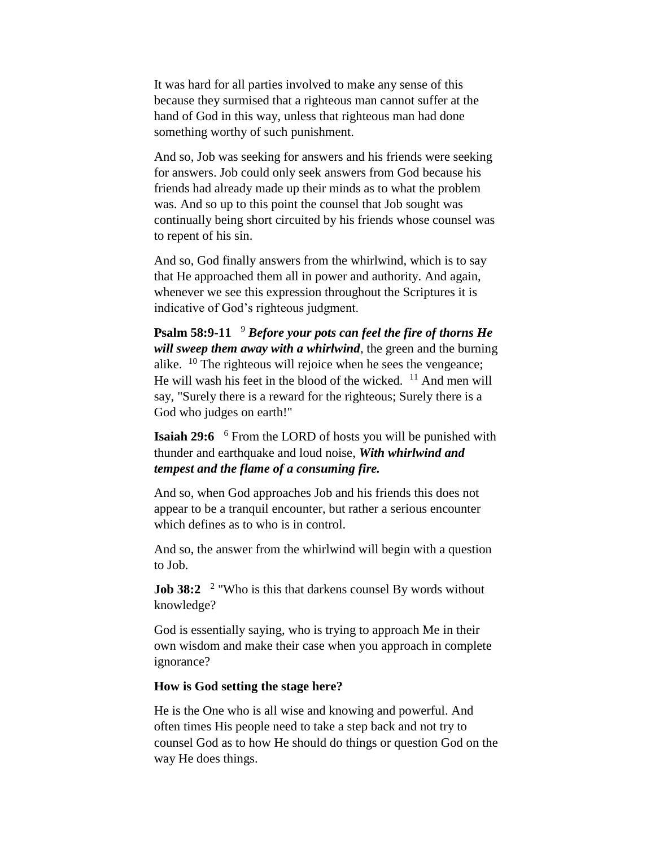It was hard for all parties involved to make any sense of this because they surmised that a righteous man cannot suffer at the hand of God in this way, unless that righteous man had done something worthy of such punishment.

And so, Job was seeking for answers and his friends were seeking for answers. Job could only seek answers from God because his friends had already made up their minds as to what the problem was. And so up to this point the counsel that Job sought was continually being short circuited by his friends whose counsel was to repent of his sin.

And so, God finally answers from the whirlwind, which is to say that He approached them all in power and authority. And again, whenever we see this expression throughout the Scriptures it is indicative of God's righteous judgment.

**Psalm 58:9-11**  <sup>9</sup> *Before your pots can feel the fire of thorns He will sweep them away with a whirlwind*, the green and the burning alike.  $10$  The righteous will rejoice when he sees the vengeance; He will wash his feet in the blood of the wicked.  $11$  And men will say, "Surely there is a reward for the righteous; Surely there is a God who judges on earth!"

**Isaiah 29:6** <sup>6</sup> From the LORD of hosts you will be punished with thunder and earthquake and loud noise, *With whirlwind and tempest and the flame of a consuming fire.*

And so, when God approaches Job and his friends this does not appear to be a tranquil encounter, but rather a serious encounter which defines as to who is in control.

And so, the answer from the whirlwind will begin with a question to Job.

**Job 38:2** <sup>2</sup> "Who is this that darkens counsel By words without knowledge?

God is essentially saying, who is trying to approach Me in their own wisdom and make their case when you approach in complete ignorance?

### **How is God setting the stage here?**

He is the One who is all wise and knowing and powerful. And often times His people need to take a step back and not try to counsel God as to how He should do things or question God on the way He does things.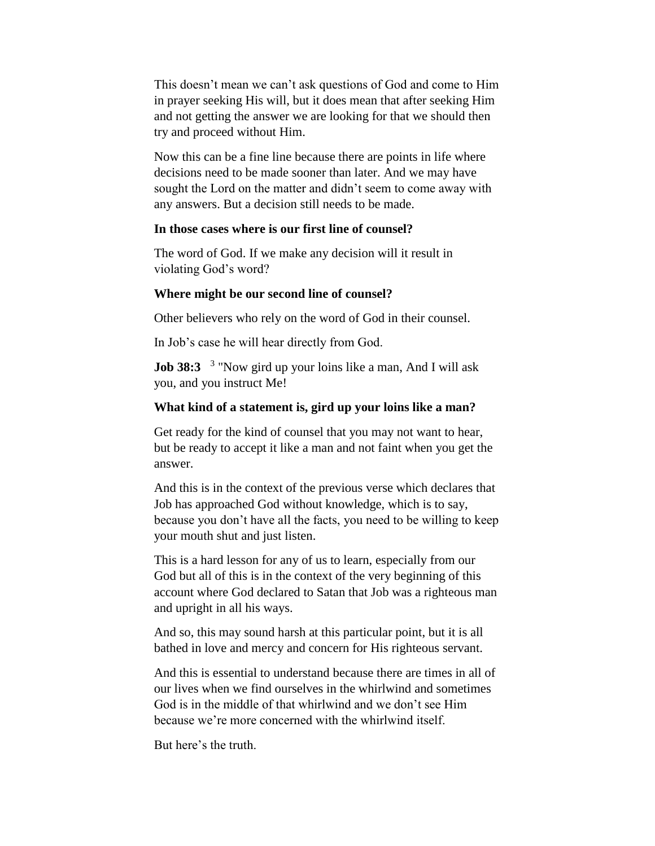This doesn't mean we can't ask questions of God and come to Him in prayer seeking His will, but it does mean that after seeking Him and not getting the answer we are looking for that we should then try and proceed without Him.

Now this can be a fine line because there are points in life where decisions need to be made sooner than later. And we may have sought the Lord on the matter and didn't seem to come away with any answers. But a decision still needs to be made.

### **In those cases where is our first line of counsel?**

The word of God. If we make any decision will it result in violating God's word?

### **Where might be our second line of counsel?**

Other believers who rely on the word of God in their counsel.

In Job's case he will hear directly from God.

**Job 38:3** <sup>3</sup> "Now gird up your loins like a man, And I will ask you, and you instruct Me!

# **What kind of a statement is, gird up your loins like a man?**

Get ready for the kind of counsel that you may not want to hear, but be ready to accept it like a man and not faint when you get the answer.

And this is in the context of the previous verse which declares that Job has approached God without knowledge, which is to say, because you don't have all the facts, you need to be willing to keep your mouth shut and just listen.

This is a hard lesson for any of us to learn, especially from our God but all of this is in the context of the very beginning of this account where God declared to Satan that Job was a righteous man and upright in all his ways.

And so, this may sound harsh at this particular point, but it is all bathed in love and mercy and concern for His righteous servant.

And this is essential to understand because there are times in all of our lives when we find ourselves in the whirlwind and sometimes God is in the middle of that whirlwind and we don't see Him because we're more concerned with the whirlwind itself.

But here's the truth.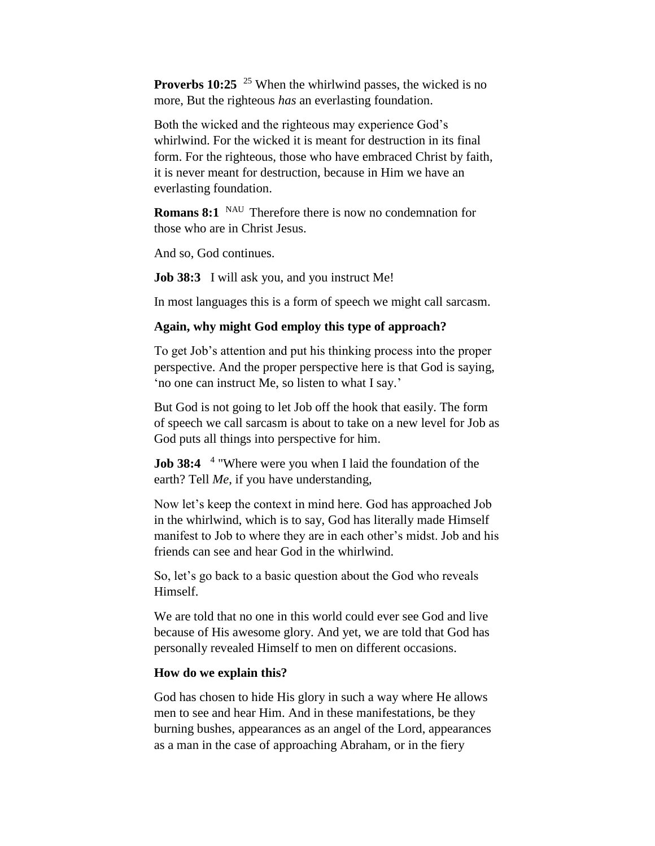**Proverbs 10:25** <sup>25</sup> When the whirlwind passes, the wicked is no more, But the righteous *has* an everlasting foundation.

Both the wicked and the righteous may experience God's whirlwind. For the wicked it is meant for destruction in its final form. For the righteous, those who have embraced Christ by faith, it is never meant for destruction, because in Him we have an everlasting foundation.

**Romans 8:1** NAU Therefore there is now no condemnation for those who are in Christ Jesus.

And so, God continues.

**Job 38:3** I will ask you, and you instruct Me!

In most languages this is a form of speech we might call sarcasm.

#### **Again, why might God employ this type of approach?**

To get Job's attention and put his thinking process into the proper perspective. And the proper perspective here is that God is saying, 'no one can instruct Me, so listen to what I say.'

But God is not going to let Job off the hook that easily. The form of speech we call sarcasm is about to take on a new level for Job as God puts all things into perspective for him.

**Job 38:4** <sup>4</sup> "Where were you when I laid the foundation of the earth? Tell *Me*, if you have understanding,

Now let's keep the context in mind here. God has approached Job in the whirlwind, which is to say, God has literally made Himself manifest to Job to where they are in each other's midst. Job and his friends can see and hear God in the whirlwind.

So, let's go back to a basic question about the God who reveals Himself.

We are told that no one in this world could ever see God and live because of His awesome glory. And yet, we are told that God has personally revealed Himself to men on different occasions.

#### **How do we explain this?**

God has chosen to hide His glory in such a way where He allows men to see and hear Him. And in these manifestations, be they burning bushes, appearances as an angel of the Lord, appearances as a man in the case of approaching Abraham, or in the fiery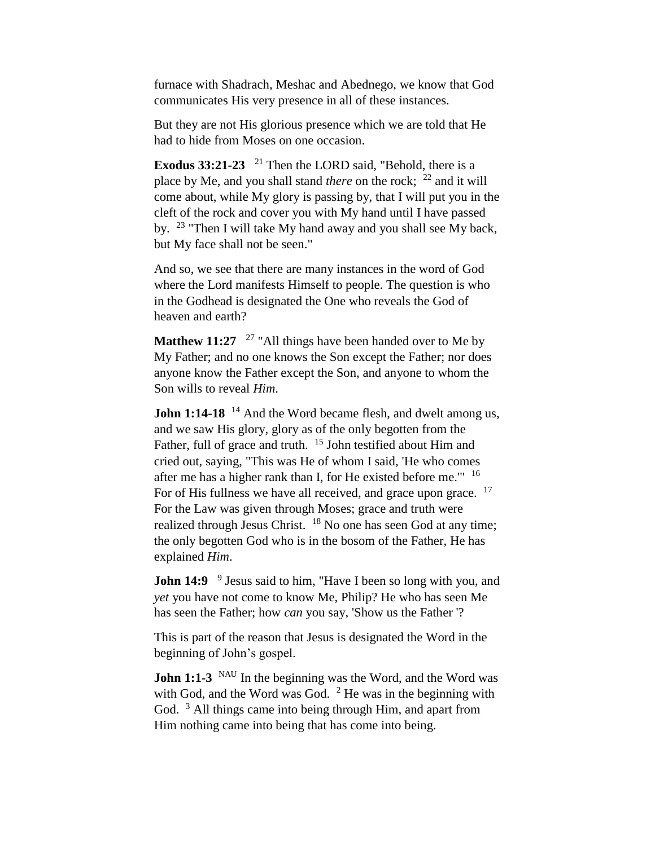furnace with Shadrach, Meshac and Abednego, we know that God communicates His very presence in all of these instances.

But they are not His glorious presence which we are told that He had to hide from Moses on one occasion.

**Exodus 33:21-23**  <sup>21</sup> Then the LORD said, "Behold, there is a place by Me, and you shall stand *there* on the rock; <sup>22</sup> and it will come about, while My glory is passing by, that I will put you in the cleft of the rock and cover you with My hand until I have passed by. <sup>23</sup> "Then I will take My hand away and you shall see My back, but My face shall not be seen."

And so, we see that there are many instances in the word of God where the Lord manifests Himself to people. The question is who in the Godhead is designated the One who reveals the God of heaven and earth?

**Matthew 11:27** <sup>27</sup> "All things have been handed over to Me by My Father; and no one knows the Son except the Father; nor does anyone know the Father except the Son, and anyone to whom the Son wills to reveal *Him*.

**John 1:14-18** <sup>14</sup> And the Word became flesh, and dwelt among us, and we saw His glory, glory as of the only begotten from the Father, full of grace and truth. <sup>15</sup> John testified about Him and cried out, saying, "This was He of whom I said, 'He who comes after me has a higher rank than I, for He existed before me."<sup>16</sup> For of His fullness we have all received, and grace upon grace. <sup>17</sup> For the Law was given through Moses; grace and truth were realized through Jesus Christ. <sup>18</sup> No one has seen God at any time; the only begotten God who is in the bosom of the Father, He has explained *Him*.

**John 14:9** <sup>9</sup> Jesus said to him, "Have I been so long with you, and *yet* you have not come to know Me, Philip? He who has seen Me has seen the Father; how *can* you say, 'Show us the Father '?

This is part of the reason that Jesus is designated the Word in the beginning of John's gospel.

**John 1:1-3** <sup>NAU</sup> In the beginning was the Word, and the Word was with God, and the Word was God.  $2$  He was in the beginning with God. <sup>3</sup> All things came into being through Him, and apart from Him nothing came into being that has come into being.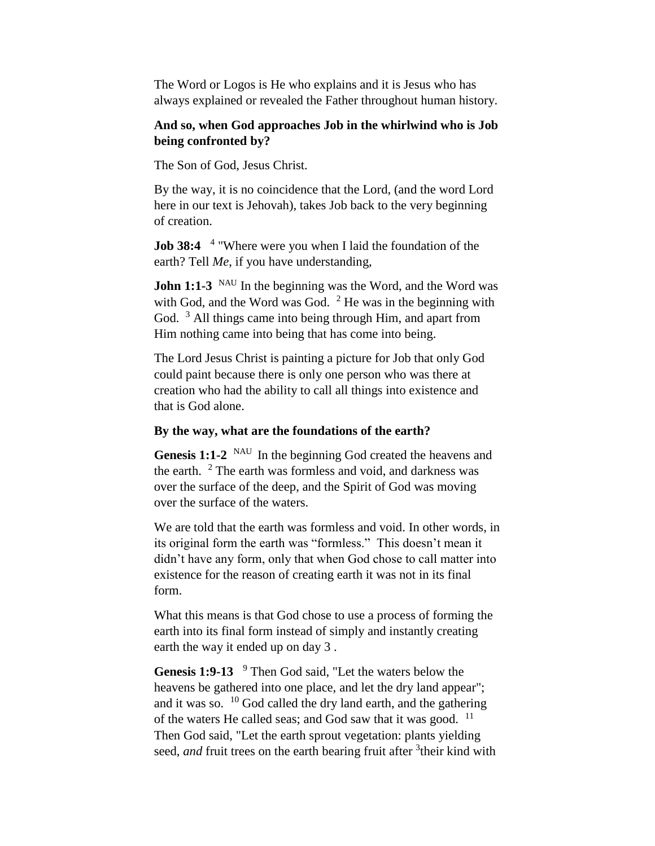The Word or Logos is He who explains and it is Jesus who has always explained or revealed the Father throughout human history.

# **And so, when God approaches Job in the whirlwind who is Job being confronted by?**

The Son of God, Jesus Christ.

By the way, it is no coincidence that the Lord, (and the word Lord here in our text is Jehovah), takes Job back to the very beginning of creation.

**Job 38:4** <sup>4</sup> "Where were you when I laid the foundation of the earth? Tell *Me*, if you have understanding,

**John 1:1-3** <sup>NAU</sup> In the beginning was the Word, and the Word was with God, and the Word was God.  $2$  He was in the beginning with God. <sup>3</sup> All things came into being through Him, and apart from Him nothing came into being that has come into being.

The Lord Jesus Christ is painting a picture for Job that only God could paint because there is only one person who was there at creation who had the ability to call all things into existence and that is God alone.

## **By the way, what are the foundations of the earth?**

**Genesis 1:1-2** <sup>NAU</sup> In the beginning God created the heavens and the earth.  $2$  The earth was formless and void, and darkness was over the surface of the deep, and the Spirit of God was moving over the surface of the waters.

We are told that the earth was formless and void. In other words, in its original form the earth was "formless." This doesn't mean it didn't have any form, only that when God chose to call matter into existence for the reason of creating earth it was not in its final form.

What this means is that God chose to use a process of forming the earth into its final form instead of simply and instantly creating earth the way it ended up on day 3 .

Genesis 1:9-13 <sup>9</sup> Then God said, "Let the waters below the heavens be gathered into one place, and let the dry land appear"; and it was so.  $10$  God called the dry land earth, and the gathering of the waters He called seas; and God saw that it was good. <sup>11</sup> Then God said, "Let the earth sprout vegetation: plants yielding seed, *and* fruit trees on the earth bearing fruit after <sup>3</sup> their kind with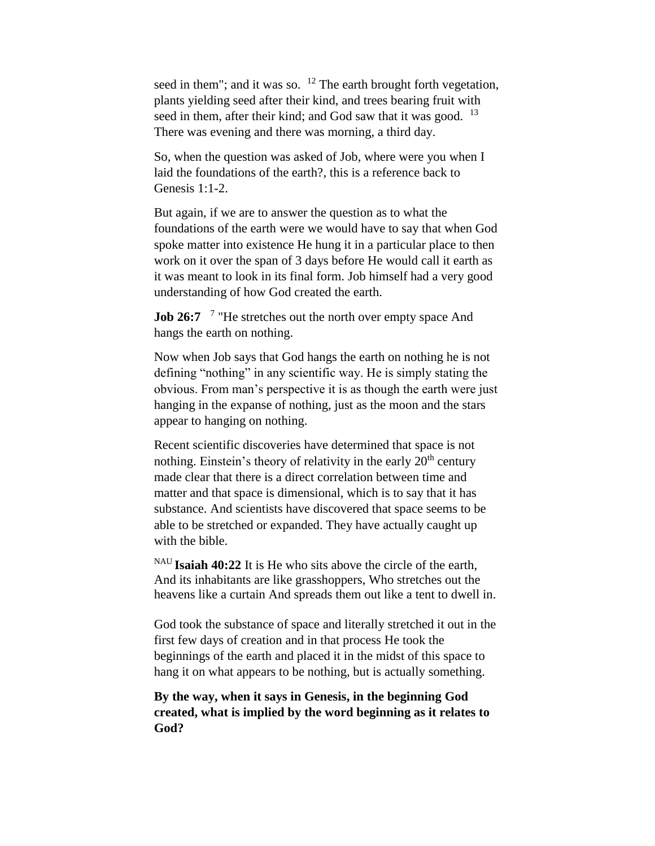seed in them"; and it was so.  $12$  The earth brought forth vegetation, plants yielding seed after their kind, and trees bearing fruit with seed in them, after their kind; and God saw that it was good.  $13$ There was evening and there was morning, a third day.

So, when the question was asked of Job, where were you when I laid the foundations of the earth?, this is a reference back to Genesis 1:1-2.

But again, if we are to answer the question as to what the foundations of the earth were we would have to say that when God spoke matter into existence He hung it in a particular place to then work on it over the span of 3 days before He would call it earth as it was meant to look in its final form. Job himself had a very good understanding of how God created the earth.

**Job 26:7** <sup>7</sup> "He stretches out the north over empty space And hangs the earth on nothing.

Now when Job says that God hangs the earth on nothing he is not defining "nothing" in any scientific way. He is simply stating the obvious. From man's perspective it is as though the earth were just hanging in the expanse of nothing, just as the moon and the stars appear to hanging on nothing.

Recent scientific discoveries have determined that space is not nothing. Einstein's theory of relativity in the early  $20<sup>th</sup>$  century made clear that there is a direct correlation between time and matter and that space is dimensional, which is to say that it has substance. And scientists have discovered that space seems to be able to be stretched or expanded. They have actually caught up with the bible.

NAU **Isaiah 40:22** It is He who sits above the circle of the earth, And its inhabitants are like grasshoppers, Who stretches out the heavens like a curtain And spreads them out like a tent to dwell in.

God took the substance of space and literally stretched it out in the first few days of creation and in that process He took the beginnings of the earth and placed it in the midst of this space to hang it on what appears to be nothing, but is actually something.

**By the way, when it says in Genesis, in the beginning God created, what is implied by the word beginning as it relates to God?**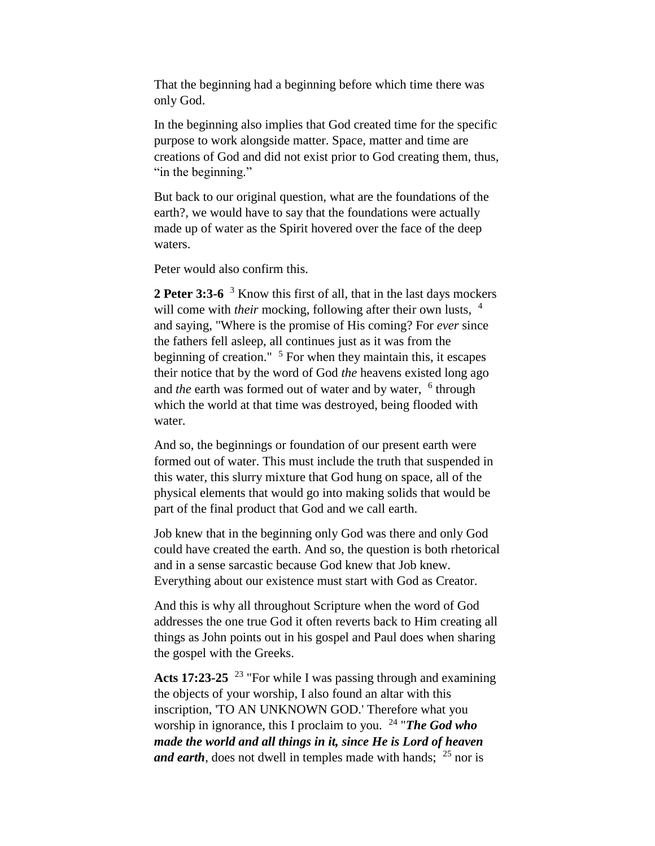That the beginning had a beginning before which time there was only God.

In the beginning also implies that God created time for the specific purpose to work alongside matter. Space, matter and time are creations of God and did not exist prior to God creating them, thus, "in the beginning."

But back to our original question, what are the foundations of the earth?, we would have to say that the foundations were actually made up of water as the Spirit hovered over the face of the deep waters.

Peter would also confirm this.

**2 Peter 3:3-6** <sup>3</sup> Know this first of all, that in the last days mockers will come with *their* mocking, following after their own lusts, <sup>4</sup> and saying, "Where is the promise of His coming? For *ever* since the fathers fell asleep, all continues just as it was from the beginning of creation."  $5$  For when they maintain this, it escapes their notice that by the word of God *the* heavens existed long ago and *the* earth was formed out of water and by water, <sup>6</sup> through which the world at that time was destroyed, being flooded with water.

And so, the beginnings or foundation of our present earth were formed out of water. This must include the truth that suspended in this water, this slurry mixture that God hung on space, all of the physical elements that would go into making solids that would be part of the final product that God and we call earth.

Job knew that in the beginning only God was there and only God could have created the earth. And so, the question is both rhetorical and in a sense sarcastic because God knew that Job knew. Everything about our existence must start with God as Creator.

And this is why all throughout Scripture when the word of God addresses the one true God it often reverts back to Him creating all things as John points out in his gospel and Paul does when sharing the gospel with the Greeks.

**Acts 17:23-25** <sup>23</sup> "For while I was passing through and examining the objects of your worship, I also found an altar with this inscription, 'TO AN UNKNOWN GOD.' Therefore what you worship in ignorance, this I proclaim to you. <sup>24</sup> "*The God who made the world and all things in it, since He is Lord of heaven and earth*, does not dwell in temples made with hands; <sup>25</sup> nor is